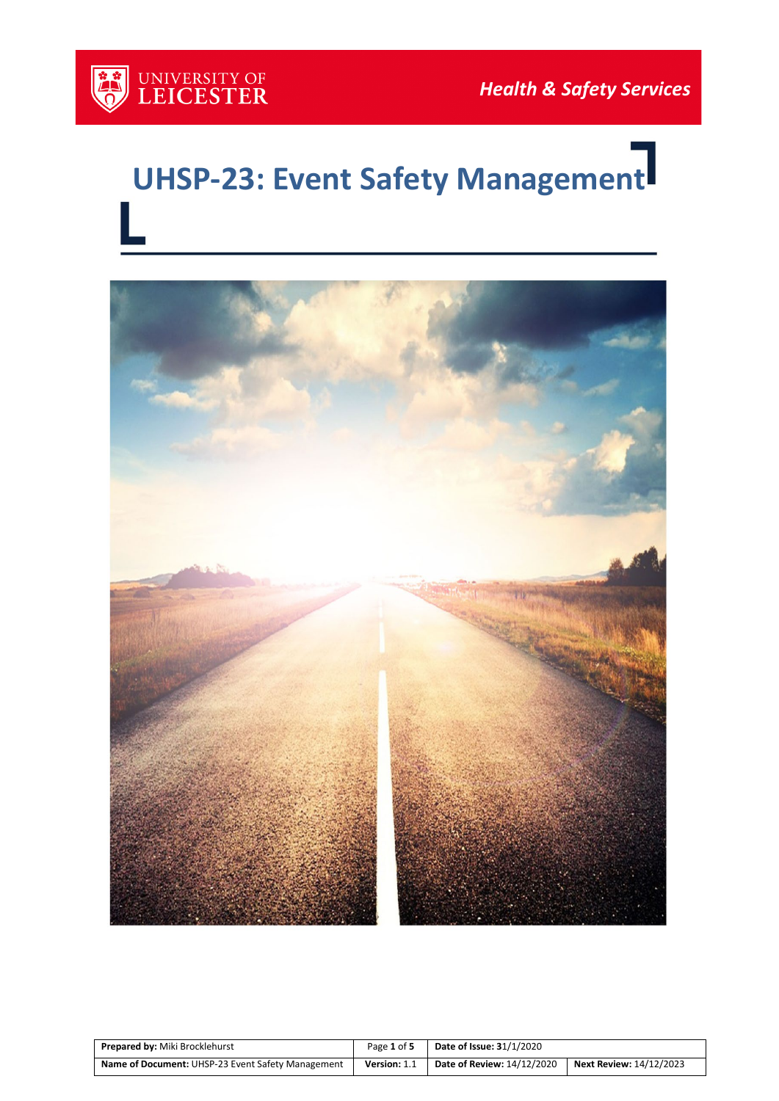

# **UHSP-23: Event Safety Management**



| <b>Prepared by: Miki Brocklehurst</b>             | Page 1 of 5  | <b>Date of Issue: 31/1/2020</b>   |                         |
|---------------------------------------------------|--------------|-----------------------------------|-------------------------|
| Name of Document: UHSP-23 Event Safety Management | Version: 1.1 | <b>Date of Review: 14/12/2020</b> | Next Review: 14/12/2023 |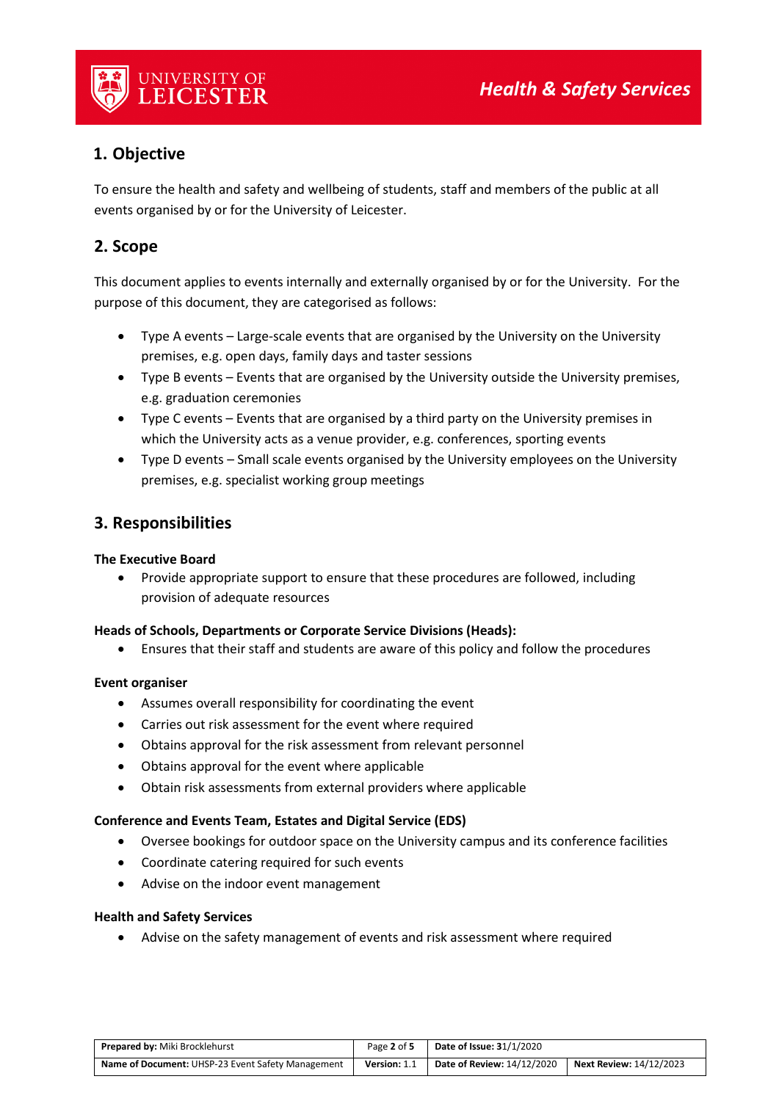

## **1. Objective**

To ensure the health and safety and wellbeing of students, staff and members of the public at all events organised by or for the University of Leicester.

## **2. Scope**

This document applies to events internally and externally organised by or for the University. For the purpose of this document, they are categorised as follows:

- Type A events Large-scale events that are organised by the University on the University premises, e.g. open days, family days and taster sessions
- Type B events Events that are organised by the University outside the University premises, e.g. graduation ceremonies
- Type C events Events that are organised by a third party on the University premises in which the University acts as a venue provider, e.g. conferences, sporting events
- Type D events Small scale events organised by the University employees on the University premises, e.g. specialist working group meetings

### **3. Responsibilities**

#### **The Executive Board**

• Provide appropriate support to ensure that these procedures are followed, including provision of adequate resources

#### **Heads of Schools, Departments or Corporate Service Divisions (Heads):**

• Ensures that their staff and students are aware of this policy and follow the procedures

#### **Event organiser**

- Assumes overall responsibility for coordinating the event
- Carries out risk assessment for the event where required
- Obtains approval for the risk assessment from relevant personnel
- Obtains approval for the event where applicable
- Obtain risk assessments from external providers where applicable

#### **Conference and Events Team, Estates and Digital Service (EDS)**

- Oversee bookings for outdoor space on the University campus and its conference facilities
- Coordinate catering required for such events
- Advise on the indoor event management

#### **Health and Safety Services**

• Advise on the safety management of events and risk assessment where required

| <b>Prepared by: Miki Brocklehurst</b>             | Page 2 of 5  | <b>Date of Issue: 31/1/2020</b> |                                |
|---------------------------------------------------|--------------|---------------------------------|--------------------------------|
| Name of Document: UHSP-23 Event Safety Management | Version: 1.1 | Date of Review: 14/12/2020      | <b>Next Review: 14/12/2023</b> |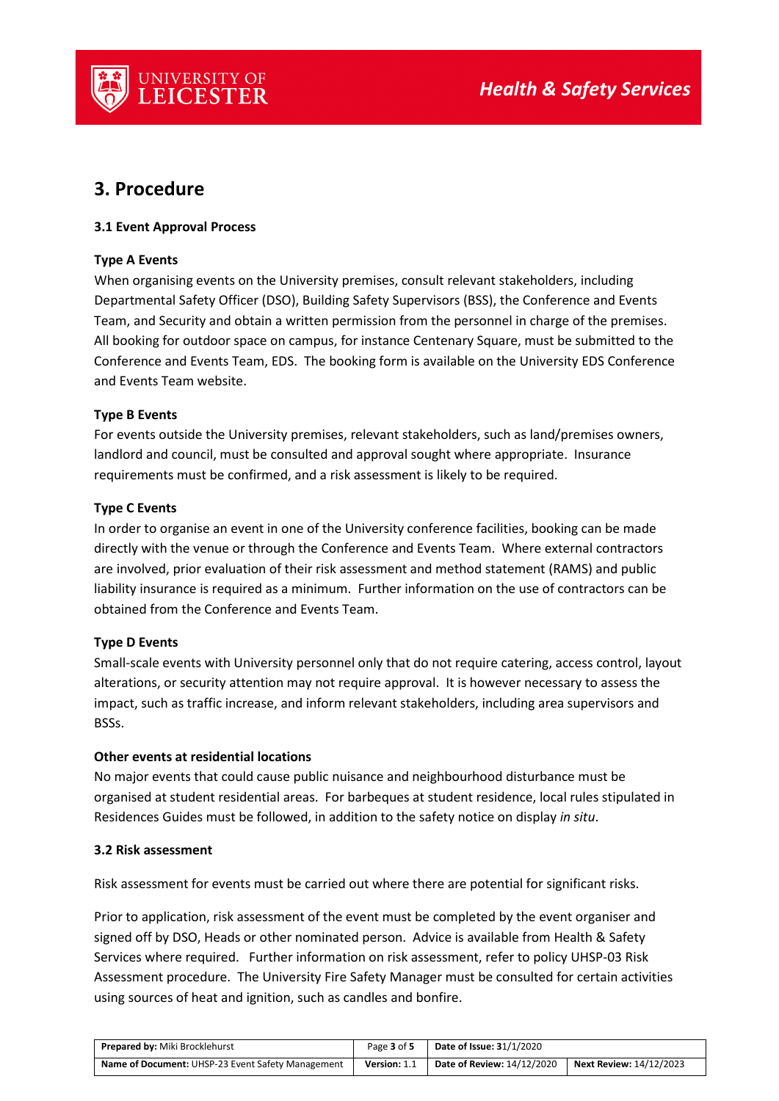

## **3. Procedure**

#### **3.1 Event Approval Process**

#### **Type A Events**

When organising events on the University premises, consult relevant stakeholders, including Departmental Safety Officer (DSO), Building Safety Supervisors (BSS), the Conference and Events Team, and Security and obtain a written permission from the personnel in charge of the premises. All booking for outdoor space on campus, for instance Centenary Square, must be submitted to the Conference and Events Team, EDS. The booking form is available on the University EDS Conference and Events Team website.

#### **Type B Events**

For events outside the University premises, relevant stakeholders, such as land/premises owners, landlord and council, must be consulted and approval sought where appropriate. Insurance requirements must be confirmed, and a risk assessment is likely to be required.

#### **Type C Events**

In order to organise an event in one of the University conference facilities, booking can be made directly with the venue or through the Conference and Events Team. Where external contractors are involved, prior evaluation of their risk assessment and method statement (RAMS) and public liability insurance is required as a minimum. Further information on the use of contractors can be obtained from the Conference and Events Team.

#### **Type D Events**

Small-scale events with University personnel only that do not require catering, access control, layout alterations, or security attention may not require approval. It is however necessary to assess the impact, such as traffic increase, and inform relevant stakeholders, including area supervisors and BSSs.

#### **Other events at residential locations**

No major events that could cause public nuisance and neighbourhood disturbance must be organised at student residential areas. For barbeques at student residence, local rules stipulated in Residences Guides must be followed, in addition to the safety notice on display *in situ*.

#### **3.2 Risk assessment**

Risk assessment for events must be carried out where there are potential for significant risks.

Prior to application, risk assessment of the event must be completed by the event organiser and signed off by DSO, Heads or other nominated person. Advice is available from Health & Safety Services where required. Further information on risk assessment, refer to policy UHSP-03 Risk Assessment procedure. The University Fire Safety Manager must be consulted for certain activities using sources of heat and ignition, such as candles and bonfire.

| <b>Prepared by: Miki Brocklehurst</b>             | Page 3 of 5  | <b>Date of Issue: 31/1/2020</b>   |                         |
|---------------------------------------------------|--------------|-----------------------------------|-------------------------|
| Name of Document: UHSP-23 Event Safety Management | Version: 1.1 | <b>Date of Review: 14/12/2020</b> | Next Review: 14/12/2023 |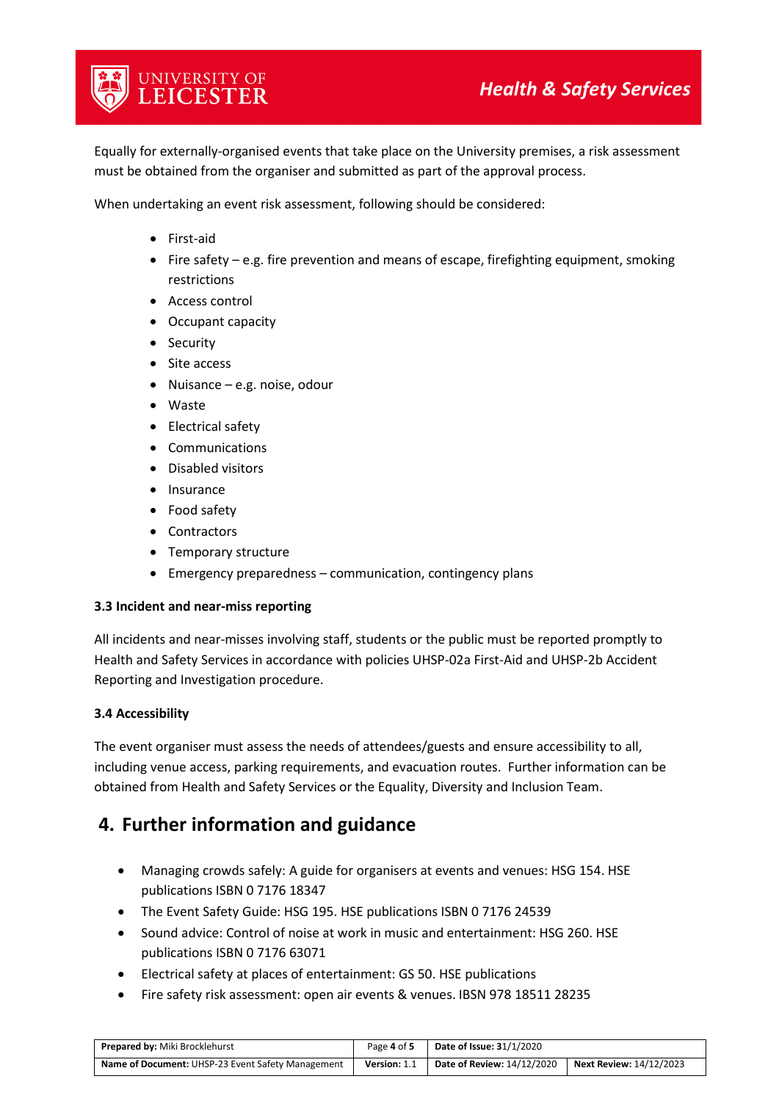Equally for externally-organised events that take place on the University premises, a risk assessment must be obtained from the organiser and submitted as part of the approval process.

When undertaking an event risk assessment, following should be considered:

- First-aid
- Fire safety e.g. fire prevention and means of escape, firefighting equipment, smoking restrictions
- Access control

UNIVERSITY OF<br>**LEICESTER** 

- Occupant capacity
- Security
- Site access
- Nuisance e.g. noise, odour
- Waste
- Electrical safety
- Communications
- Disabled visitors
- Insurance
- Food safety
- Contractors
- Temporary structure
- Emergency preparedness communication, contingency plans

#### **3.3 Incident and near-miss reporting**

All incidents and near-misses involving staff, students or the public must be reported promptly to Health and Safety Services in accordance with policies UHSP-02a First-Aid and UHSP-2b Accident Reporting and Investigation procedure.

#### **3.4 Accessibility**

The event organiser must assess the needs of attendees/guests and ensure accessibility to all, including venue access, parking requirements, and evacuation routes. Further information can be obtained from Health and Safety Services or the Equality, Diversity and Inclusion Team.

## **4. Further information and guidance**

- Managing crowds safely: A guide for organisers at events and venues: HSG 154. HSE publications ISBN 0 7176 18347
- The Event Safety Guide: HSG 195. HSE publications ISBN 0 7176 24539
- Sound advice: Control of noise at work in music and entertainment: HSG 260. HSE publications ISBN 0 7176 63071
- Electrical safety at places of entertainment: GS 50. HSE publications
- Fire safety risk assessment: open air events & venues. IBSN 978 18511 28235

| <b>Prepared by: Miki Brocklehurst</b>             | Page 4 of 5  | Date of Issue: $31/1/2020$ |                         |
|---------------------------------------------------|--------------|----------------------------|-------------------------|
| Name of Document: UHSP-23 Event Safety Management | Version: 1.1 | Date of Review: 14/12/2020 | Next Review: 14/12/2023 |